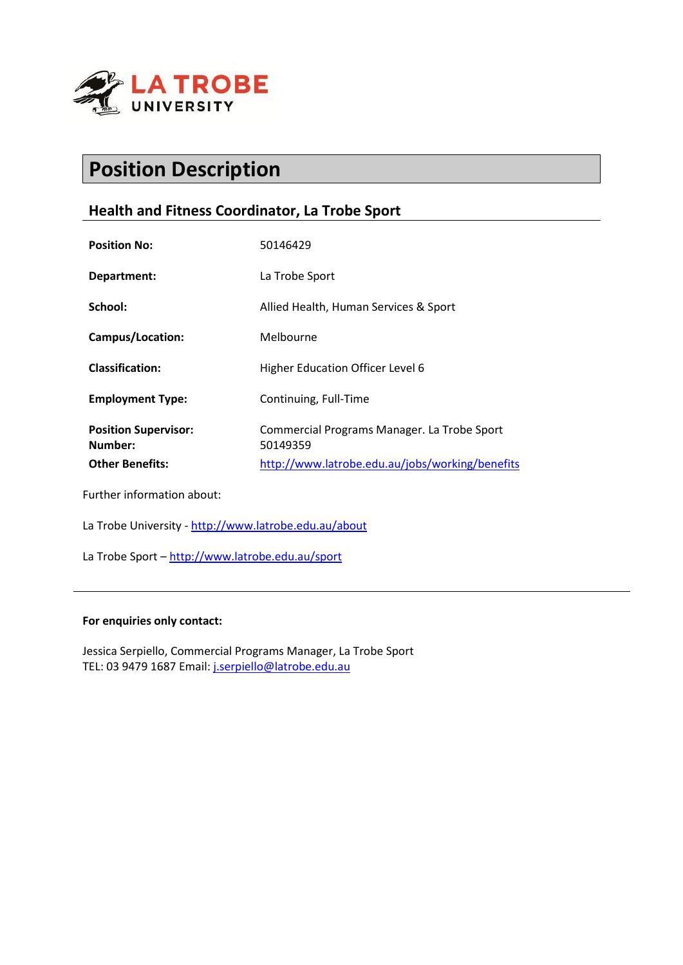

# **Position Description**

# **Health and Fitness Coordinator, La Trobe Sport**

| 50146429                                                                                                   |
|------------------------------------------------------------------------------------------------------------|
| La Trobe Sport                                                                                             |
| Allied Health, Human Services & Sport                                                                      |
| Melbourne                                                                                                  |
| Higher Education Officer Level 6                                                                           |
| Continuing, Full-Time                                                                                      |
| Commercial Programs Manager. La Trobe Sport<br>50149359<br>http://www.latrobe.edu.au/jobs/working/benefits |
|                                                                                                            |

Further information about:

La Trobe University - http://www.latrobe.edu.au/about

La Trobe Sport - http://www.latrobe.edu.au/sport

#### **For enquiries only contact:**

Jessica Serpiello, Commercial Programs Manager, La Trobe Sport TEL: 03 9479 1687 Email: j.serpiello@latrobe.edu.au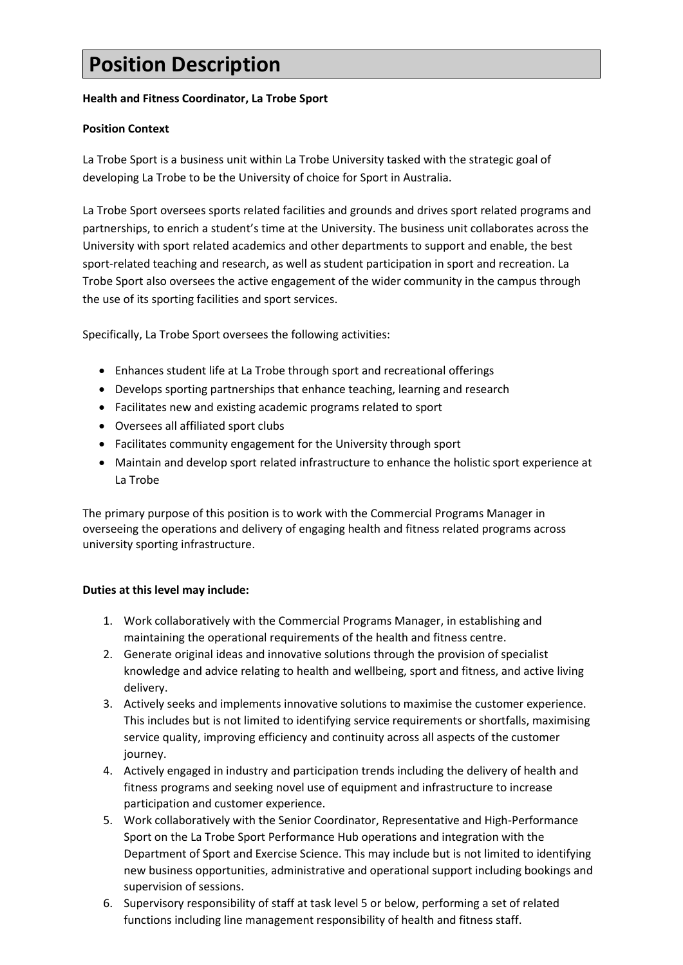# **Position Description**

# **Health and Fitness Coordinator, La Trobe Sport**

## **Position Context**

La Trobe Sport is a business unit within La Trobe University tasked with the strategic goal of developing La Trobe to be the University of choice for Sport in Australia.

La Trobe Sport oversees sports related facilities and grounds and drives sport related programs and partnerships, to enrich a student's time at the University. The business unit collaborates across the University with sport related academics and other departments to support and enable, the best sport-related teaching and research, as well as student participation in sport and recreation. La Trobe Sport also oversees the active engagement of the wider community in the campus through the use of its sporting facilities and sport services.

Specifically, La Trobe Sport oversees the following activities:

- Enhances student life at La Trobe through sport and recreational offerings
- Develops sporting partnerships that enhance teaching, learning and research
- Facilitates new and existing academic programs related to sport
- Oversees all affiliated sport clubs
- Facilitates community engagement for the University through sport
- Maintain and develop sport related infrastructure to enhance the holistic sport experience at La Trobe

The primary purpose of this position is to work with the Commercial Programs Manager in overseeing the operations and delivery of engaging health and fitness related programs across university sporting infrastructure.

#### **Duties at this level may include:**

- 1. Work collaboratively with the Commercial Programs Manager, in establishing and maintaining the operational requirements of the health and fitness centre.
- 2. Generate original ideas and innovative solutions through the provision of specialist knowledge and advice relating to health and wellbeing, sport and fitness, and active living delivery.
- 3. Actively seeks and implements innovative solutions to maximise the customer experience. This includes but is not limited to identifying service requirements or shortfalls, maximising service quality, improving efficiency and continuity across all aspects of the customer journey.
- 4. Actively engaged in industry and participation trends including the delivery of health and fitness programs and seeking novel use of equipment and infrastructure to increase participation and customer experience.
- 5. Work collaboratively with the Senior Coordinator, Representative and High-Performance Sport on the La Trobe Sport Performance Hub operations and integration with the Department of Sport and Exercise Science. This may include but is not limited to identifying new business opportunities, administrative and operational support including bookings and supervision of sessions.
- 6. Supervisory responsibility of staff at task level 5 or below, performing a set of related functions including line management responsibility of health and fitness staff.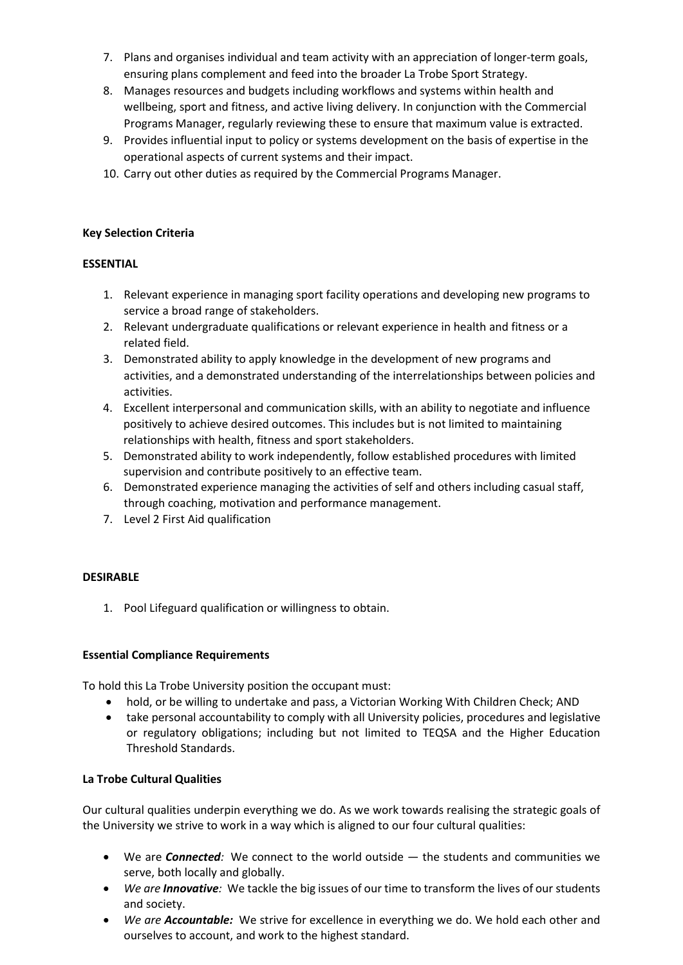- 7. Plans and organises individual and team activity with an appreciation of longer-term goals, ensuring plans complement and feed into the broader La Trobe Sport Strategy.
- 8. Manages resources and budgets including workflows and systems within health and wellbeing, sport and fitness, and active living delivery. In conjunction with the Commercial Programs Manager, regularly reviewing these to ensure that maximum value is extracted.
- 9. Provides influential input to policy or systems development on the basis of expertise in the operational aspects of current systems and their impact.
- 10. Carry out other duties as required by the Commercial Programs Manager.

## **Key Selection Criteria**

## **ESSENTIAL**

- 1. Relevant experience in managing sport facility operations and developing new programs to service a broad range of stakeholders.
- 2. Relevant undergraduate qualifications or relevant experience in health and fitness or a related field.
- 3. Demonstrated ability to apply knowledge in the development of new programs and activities, and a demonstrated understanding of the interrelationships between policies and activities.
- 4. Excellent interpersonal and communication skills, with an ability to negotiate and influence positively to achieve desired outcomes. This includes but is not limited to maintaining relationships with health, fitness and sport stakeholders.
- 5. Demonstrated ability to work independently, follow established procedures with limited supervision and contribute positively to an effective team.
- 6. Demonstrated experience managing the activities of self and others including casual staff, through coaching, motivation and performance management.
- 7. Level 2 First Aid qualification

# **DESIRABLE**

1. Pool Lifeguard qualification or willingness to obtain.

#### **Essential Compliance Requirements**

To hold this La Trobe University position the occupant must:

- hold, or be willing to undertake and pass, a Victorian Working With Children Check; AND
- take personal accountability to comply with all University policies, procedures and legislative or regulatory obligations; including but not limited to TEQSA and the Higher Education Threshold Standards.

#### **La Trobe Cultural Qualities**

Our cultural qualities underpin everything we do. As we work towards realising the strategic goals of the University we strive to work in a way which is aligned to our four cultural qualities:

- We are *Connected:* We connect to the world outside the students and communities we serve, both locally and globally.
- *We are Innovative:* We tackle the big issues of our time to transform the lives of our students and society.
- *We are Accountable:* We strive for excellence in everything we do. We hold each other and ourselves to account, and work to the highest standard.